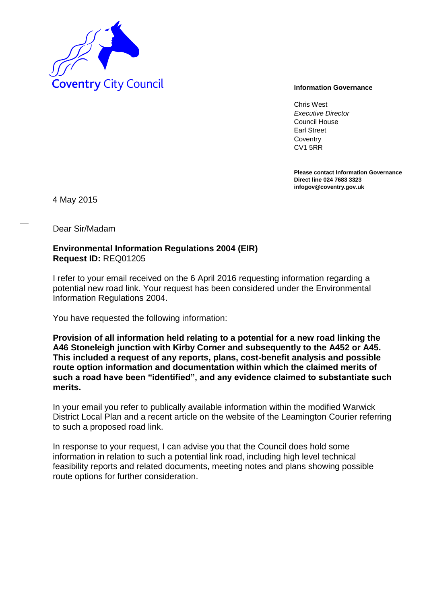

Chris West *Executive Director* Council House Earl Street **Coventry** CV1 5RR

**Please contact Information Governance Direct line 024 7683 3323 infogov@coventry.gov.uk** 

4 May 2015

Dear Sir/Madam

## **Environmental Information Regulations 2004 (EIR) Request ID:** REQ01205

I refer to your email received on the 6 April 2016 requesting information regarding a potential new road link. Your request has been considered under the Environmental Information Regulations 2004.

You have requested the following information:

**Provision of all information held relating to a potential for a new road linking the A46 Stoneleigh junction with Kirby Corner and subsequently to the A452 or A45. This included a request of any reports, plans, cost-benefit analysis and possible route option information and documentation within which the claimed merits of such a road have been "identified", and any evidence claimed to substantiate such merits.** 

In your email you refer to publically available information within the modified Warwick District Local Plan and a recent article on the website of the Leamington Courier referring to such a proposed road link.

In response to your request, I can advise you that the Council does hold some information in relation to such a potential link road, including high level technical feasibility reports and related documents, meeting notes and plans showing possible route options for further consideration.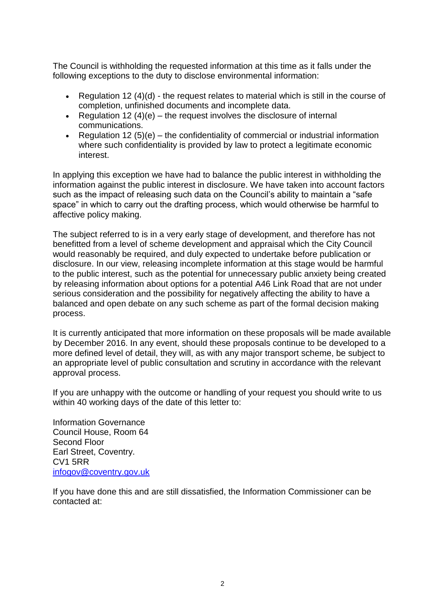The Council is withholding the requested information at this time as it falls under the following exceptions to the duty to disclose environmental information:

- Regulation 12  $(4)(d)$  the request relates to material which is still in the course of completion, unfinished documents and incomplete data.
- Exequitation 12  $(4)(e)$  the request involves the disclosure of internal communications.
- Regulation 12 (5)(e) the confidentiality of commercial or industrial information where such confidentiality is provided by law to protect a legitimate economic interest.

In applying this exception we have had to balance the public interest in withholding the information against the public interest in disclosure. We have taken into account factors such as the impact of releasing such data on the Council's ability to maintain a "safe space" in which to carry out the drafting process, which would otherwise be harmful to affective policy making.

The subject referred to is in a very early stage of development, and therefore has not benefitted from a level of scheme development and appraisal which the City Council would reasonably be required, and duly expected to undertake before publication or disclosure. In our view, releasing incomplete information at this stage would be harmful to the public interest, such as the potential for unnecessary public anxiety being created by releasing information about options for a potential A46 Link Road that are not under serious consideration and the possibility for negatively affecting the ability to have a balanced and open debate on any such scheme as part of the formal decision making process.

It is currently anticipated that more information on these proposals will be made available by December 2016. In any event, should these proposals continue to be developed to a more defined level of detail, they will, as with any major transport scheme, be subject to an appropriate level of public consultation and scrutiny in accordance with the relevant approval process.

If you are unhappy with the outcome or handling of your request you should write to us within 40 working days of the date of this letter to:

Information Governance Council House, Room 64 Second Floor Earl Street, Coventry. CV1 5RR [infogov@coventry.gov.uk](mailto:infogov@coventry.gov.uk)

If you have done this and are still dissatisfied, the Information Commissioner can be contacted at: